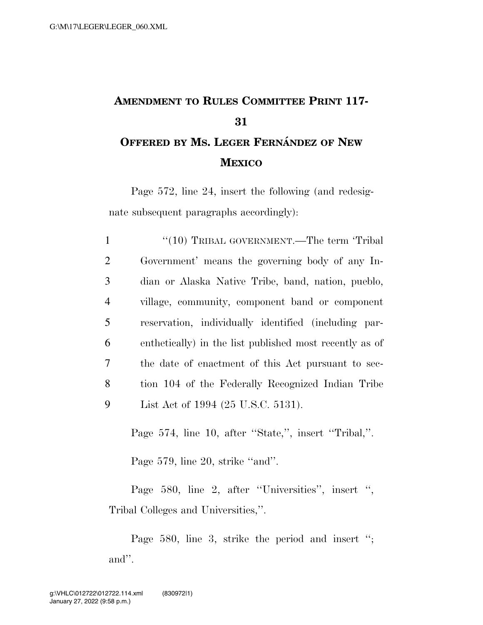## **AMENDMENT TO RULES COMMITTEE PRINT 117- 31 OFFERED BY MS. LEGER FERNA´ NDEZ OF NEW**

## **MEXICO**

Page 572, line 24, insert the following (and redesignate subsequent paragraphs accordingly):

1 "(10) TRIBAL GOVERNMENT.—The term 'Tribal Government' means the governing body of any In- dian or Alaska Native Tribe, band, nation, pueblo, village, community, component band or component reservation, individually identified (including par- enthetically) in the list published most recently as of the date of enactment of this Act pursuant to sec- tion 104 of the Federally Recognized Indian Tribe List Act of 1994 (25 U.S.C. 5131).

Page 574, line 10, after "State,", insert "Tribal,".

Page 579, line 20, strike "and".

Page 580, line 2, after ''Universities'', insert '', Tribal Colleges and Universities,''.

Page 580, line 3, strike the period and insert "; and''.